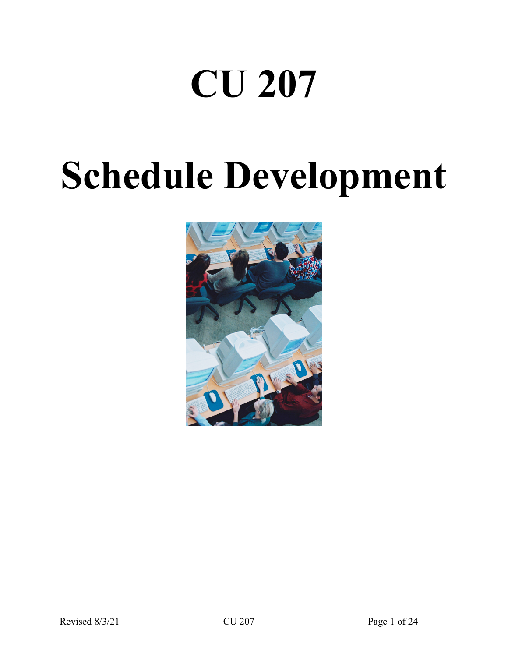# **CU 207**

# **Schedule Development**

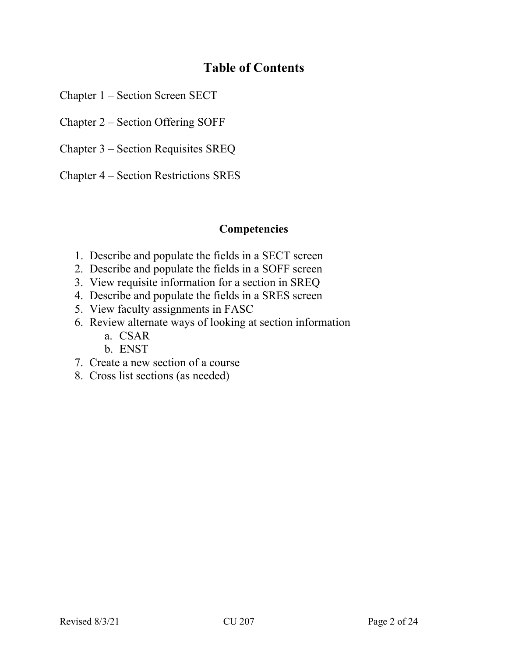# **Table of Contents**

Chapter 1 – Section Screen SECT

Chapter 2 – Section Offering SOFF

Chapter 3 – Section Requisites SREQ

Chapter 4 – Section Restrictions SRES

# **Competencies**

- 1. Describe and populate the fields in a SECT screen
- 2. Describe and populate the fields in a SOFF screen
- 3. View requisite information for a section in SREQ
- 4. Describe and populate the fields in a SRES screen
- 5. View faculty assignments in FASC
- 6. Review alternate ways of looking at section information
	- a. CSAR
	- b. ENST
- 7. Create a new section of a course
- 8. Cross list sections (as needed)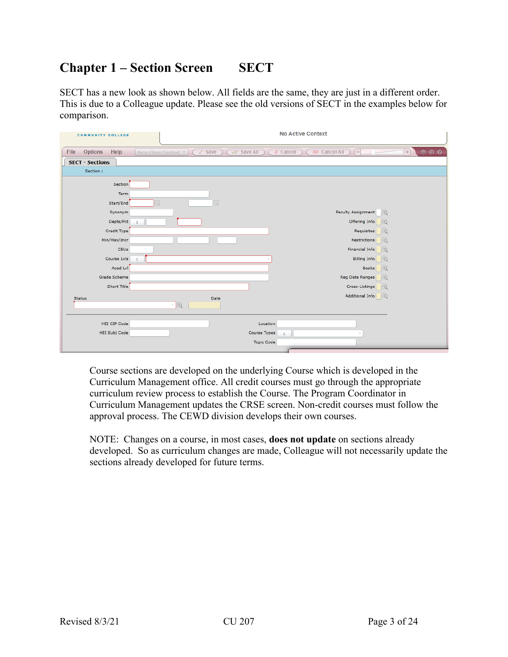# **Chapter 1 – Section Screen SECT**

SECT has a new look as shown below. All fields are the same, they are just in a different order. This is due to a Colleague update. Please see the old versions of SECT in the examples below for comparison.

| <b>COMMUNITY COLLEGE</b>       |                                        | <b>No Active Context</b>                                                                                                                                                  |
|--------------------------------|----------------------------------------|---------------------------------------------------------------------------------------------------------------------------------------------------------------------------|
| File<br><b>Options</b><br>Help | $\sqrt{}$ Save<br>Auto-Close Context V | $\begin{array}{ccccc}\n\bullet & \bullet & \bullet & \bullet\n\end{array}$<br>V Save All<br><b>XX</b> Cancel All<br>$\vert + \rangle$<br>$X$ Cancel<br>$\left  - \right $ |
| <b>SECT - Sections</b>         |                                        |                                                                                                                                                                           |
| Section:                       |                                        |                                                                                                                                                                           |
| Section                        |                                        |                                                                                                                                                                           |
| Term                           |                                        |                                                                                                                                                                           |
| Start/End                      | 顧<br>頭                                 |                                                                                                                                                                           |
| Synonym                        |                                        | Faculty Assignment<br>Eà                                                                                                                                                  |
| Depts/Pct                      |                                        | Offering Info<br>Eö                                                                                                                                                       |
| Credit Type                    |                                        | Requisites<br>lio                                                                                                                                                         |
| Min/Max/Incr                   |                                        | Restrictions<br>Eĉ                                                                                                                                                        |
| CEUs                           |                                        | Financial Info<br>13ä                                                                                                                                                     |
| Course Lvls                    |                                        | <b>Billing Info</b><br>IRC                                                                                                                                                |
| Acad Lvl                       |                                        | <b>Books</b><br>EC                                                                                                                                                        |
| Grade Scheme                   |                                        | Reg Date Ranges<br>lisä                                                                                                                                                   |
| Short Title                    |                                        | Cross-Listings<br>lio                                                                                                                                                     |
| Status                         | Date                                   | Additional Info<br>13                                                                                                                                                     |
|                                | - 15                                   |                                                                                                                                                                           |
|                                |                                        |                                                                                                                                                                           |
| HEI CIP Code                   |                                        | Location                                                                                                                                                                  |
| HEI Subj Code                  |                                        | Course Types<br>$\mathbf{1}$                                                                                                                                              |
|                                |                                        | <b>Topic Code</b>                                                                                                                                                         |

Course sections are developed on the underlying Course which is developed in the Curriculum Management office. All credit courses must go through the appropriate curriculum review process to establish the Course. The Program Coordinator in Curriculum Management updates the CRSE screen. Non-credit courses must follow the approval process. The CEWD division develops their own courses.

NOTE: Changes on a course, in most cases, **does not update** on sections already developed. So as curriculum changes are made, Colleague will not necessarily update the sections already developed for future terms.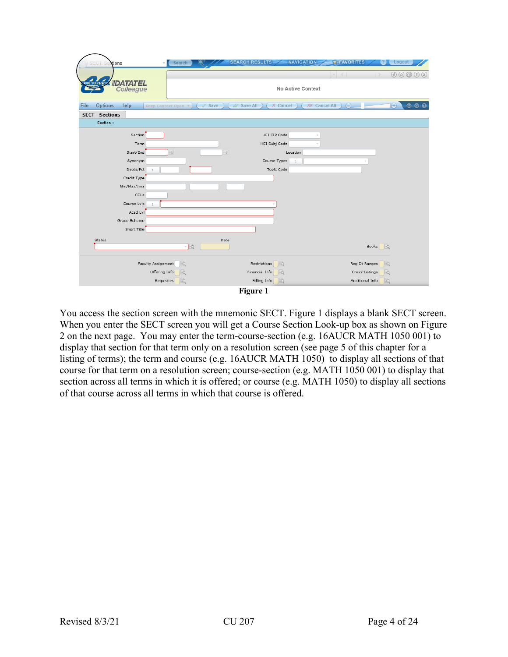|                                |                                                  | <b>SEARCH RESULTS-</b>       | <b>EXPENSIVE FAVORITES</b>   | Logout                                                                                        |
|--------------------------------|--------------------------------------------------|------------------------------|------------------------------|-----------------------------------------------------------------------------------------------|
| stions<br>SECI                 | Search                                           |                              | <b>NAVIGATION</b>            |                                                                                               |
|                                |                                                  |                              | $\left\langle \right\rangle$ | $\textcircled{\tiny{2}} \textcircled{\tiny{3}} \textcircled{\tiny{4}} \textcircled{\tiny{5}}$ |
| <b>OLUMBUS STAY  IDATATEL</b>  |                                                  |                              | No Active Context            |                                                                                               |
| Colleague                      |                                                  |                              |                              |                                                                                               |
| <b>Options</b><br>Help<br>File | $\sqrt{\phantom{a}}$ Save<br>Keep Context Open v | // Save All<br>$X$ Cancel    | XX Cancel All<br>$\ominus$   | $\Theta$<br>880                                                                               |
| <b>SECT - Sections</b>         |                                                  |                              |                              |                                                                                               |
| Section:                       |                                                  |                              |                              |                                                                                               |
| Section                        |                                                  | HEI CIP Code                 |                              |                                                                                               |
| Term                           |                                                  | HEI Subj Code                |                              |                                                                                               |
| Start/End                      | 핇<br>醌                                           | Location                     |                              |                                                                                               |
| Synonym                        |                                                  | Course Types<br>$\mathbf{1}$ |                              |                                                                                               |
| Depts/Pct                      |                                                  | Topic Code                   |                              |                                                                                               |
| Credit Type                    |                                                  |                              |                              |                                                                                               |
| Min/Max/Incr                   |                                                  |                              |                              |                                                                                               |
| CEUs                           |                                                  |                              |                              |                                                                                               |
| Course Lvls                    |                                                  |                              |                              |                                                                                               |
| Acad Lvl                       |                                                  |                              |                              |                                                                                               |
| Grade Scheme                   |                                                  |                              |                              |                                                                                               |
| Short Title                    |                                                  |                              |                              |                                                                                               |
| Status                         | Date                                             |                              |                              |                                                                                               |
|                                | - 15                                             |                              |                              | Books <b>EQ</b>                                                                               |
|                                |                                                  |                              |                              |                                                                                               |
| Faculty Assignment             | Eð                                               | Restrictions<br><b>IEG</b>   |                              | Reg Dt Ranges<br><b>IEQ</b>                                                                   |
| Offering Info                  |                                                  | Financial Info<br>lio        |                              | Cross-Listings<br>lio                                                                         |
|                                | Requisites<br>lisö.                              | Billing Info<br>la           |                              | Additional Info<br><b>B</b> ò                                                                 |
|                                |                                                  | Figure 1                     |                              |                                                                                               |

You access the section screen with the mnemonic SECT. Figure 1 displays a blank SECT screen. When you enter the SECT screen you will get a Course Section Look-up box as shown on Figure 2 on the next page. You may enter the term-course-section (e.g. 16AUCR MATH 1050 001) to display that section for that term only on a resolution screen (see page 5 of this chapter for a listing of terms); the term and course (e.g. 16AUCR MATH 1050) to display all sections of that course for that term on a resolution screen; course-section (e.g. MATH 1050 001) to display that section across all terms in which it is offered; or course (e.g. MATH 1050) to display all sections of that course across all terms in which that course is offered.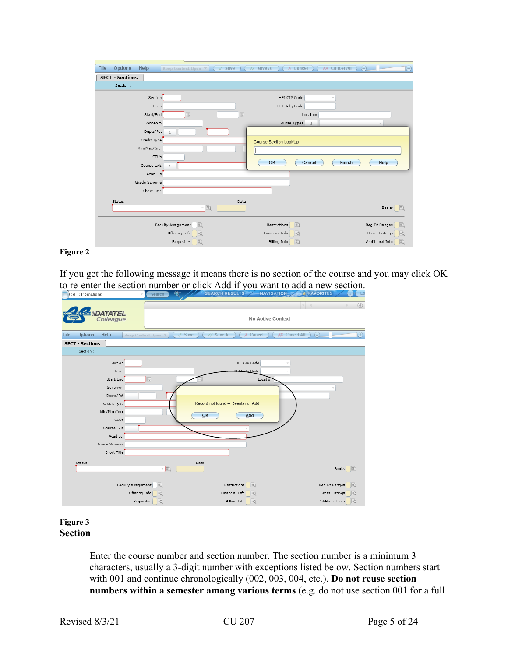| File<br><b>Options</b><br><b>Help</b> | $\sqrt{$ Save<br>Keep Context Open | V Save All<br>$X$ Cancel     | $\Theta$<br>XX Cancel All<br>$\Theta$ |
|---------------------------------------|------------------------------------|------------------------------|---------------------------------------|
| <b>SECT - Sections</b>                |                                    |                              |                                       |
| Section:                              |                                    |                              |                                       |
| Section                               |                                    | HEI CIP Code                 |                                       |
| Term                                  |                                    | HEI Subj Code                |                                       |
| Start/End                             | 扁<br>圜                             | Location                     |                                       |
| Synonym                               |                                    | Course Types                 |                                       |
| Depts/Pct                             | $\mathbf{1}$                       |                              |                                       |
| Credit Type                           |                                    | <b>Course Section LookUp</b> |                                       |
| Min/Max/Incr                          |                                    |                              |                                       |
| CEUs                                  |                                    |                              |                                       |
| Course Lvls                           |                                    | QK<br>Cancel                 | Einish<br>Help                        |
| Acad Lvl                              |                                    |                              |                                       |
| Grade Scheme                          |                                    |                              |                                       |
| Short Title                           |                                    |                              |                                       |
| Status                                | Date                               |                              |                                       |
|                                       | là<br>$\mathcal{C}$                |                              | Books <sub>0</sub>                    |
|                                       |                                    |                              |                                       |
|                                       | Faculty Assignment<br>Eò           | 16<br>Restrictions           | Reg Dt Ranges<br>lio                  |
|                                       | Offering Info<br>lið               | lio<br>Financial Info        | Cross-Listings<br>lio                 |
|                                       | Requisites<br>Eò                   | Billing Info<br>Eò           | Additional Info<br>脑                  |

#### **Figure 2**

If you get the following message it means there is no section of the course and you may click OK to re-enter the section number or click Add if you want to add a new section.

| <b>SECT: Sections</b>           | Search                   | SEARCH RESULTS WAS NAVIGATION                  | LO <sub>1</sub>                          |
|---------------------------------|--------------------------|------------------------------------------------|------------------------------------------|
| <b>COLUMBUS STATE   DATATEL</b> |                          | No Active Context                              | $\odot$<br>$\sim$<br>$\sim$              |
| Help<br>File<br>Options         | Keep Context Open v      | // Save All<br>$X$ Cancel<br>Save<br>$\sqrt{}$ | $\bigoplus$<br>XX Cancel All<br>$\Theta$ |
| <b>SECT - Sections</b>          |                          |                                                |                                          |
| Section:                        |                          |                                                |                                          |
| Section                         |                          | HEI CIP Code                                   |                                          |
| Term                            |                          | <b>HEI Suhi Code</b>                           |                                          |
| Start/End                       | 闝                        | Location                                       |                                          |
| Synonym                         |                          |                                                |                                          |
| Depts/Pct                       |                          |                                                |                                          |
| Credit Type                     |                          | Record not found -- Reenter or Add             |                                          |
| Min/Max/Incr                    |                          | ,,,,,,,,,,,,,,,,,<br>Add<br>QK                 |                                          |
| CEUs                            |                          |                                                |                                          |
| Course Lvls                     |                          |                                                |                                          |
| Acad Lvl                        |                          |                                                |                                          |
| Grade Scheme                    |                          |                                                |                                          |
| Short Title                     |                          |                                                |                                          |
| Status                          | - 15                     | Date                                           | Books <b>B</b>                           |
|                                 | Faculty Assignment<br>Eà | Restrictions<br>R                              | Reg Dt Ranges<br>lio                     |
|                                 | Offering Info<br>lio     | Financial Info                                 | Cross-Listings<br>R                      |
|                                 | Eà<br>Requisites         | <b>Billing Info</b><br>Eà                      | Eq<br>Additional Info                    |

#### **Figure 3 Section**

Enter the course number and section number. The section number is a minimum 3 characters, usually a 3-digit number with exceptions listed below. Section numbers start with 001 and continue chronologically (002, 003, 004, etc.). **Do not reuse section numbers within a semester among various terms** (e.g. do not use section 001 for a full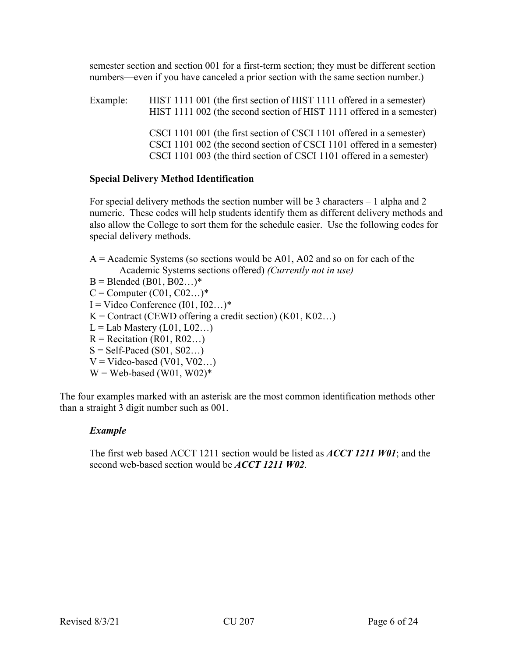semester section and section 001 for a first-term section; they must be different section numbers—even if you have canceled a prior section with the same section number.)

Example: HIST 1111 001 (the first section of HIST 1111 offered in a semester) HIST 1111 002 (the second section of HIST 1111 offered in a semester) CSCI 1101 001 (the first section of CSCI 1101 offered in a semester) CSCI 1101 002 (the second section of CSCI 1101 offered in a semester) CSCI 1101 003 (the third section of CSCI 1101 offered in a semester)

#### **Special Delivery Method Identification**

For special delivery methods the section number will be 3 characters – 1 alpha and 2 numeric. These codes will help students identify them as different delivery methods and also allow the College to sort them for the schedule easier. Use the following codes for special delivery methods.

 $A =$  Academic Systems (so sections would be A01, A02 and so on for each of the Academic Systems sections offered) *(Currently not in use)*

- $B = B$ lended (B01, B02...)\*
- $C =$  Computer  $(C01, C02...)^*$
- $I =$  Video Conference  $(101, 102...)^*$
- $K =$  Contract (CEWD offering a credit section) (K01, K02...)
- $L =$ Lab Mastery (L01, L02...)
- $R = Recitation (R01, R02...)$
- $S = Self-Paced (S01, S02...)$
- $V = Video-based (V01, V02...)$
- $W = Web-based (W01, W02)*$

The four examples marked with an asterisk are the most common identification methods other than a straight 3 digit number such as 001.

# *Example*

The first web based ACCT 1211 section would be listed as *ACCT 1211 W01*; and the second web-based section would be *ACCT 1211 W02*.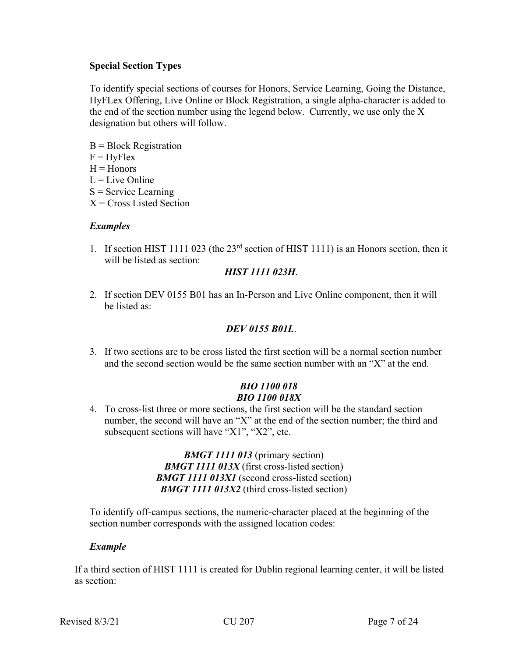## **Special Section Types**

To identify special sections of courses for Honors, Service Learning, Going the Distance, HyFLex Offering, Live Online or Block Registration, a single alpha-character is added to the end of the section number using the legend below. Currently, we use only the X designation but others will follow.

- $B = Block$  Registration
- $F = HyFlex$
- $H =$ Honors
- $L =$ Live Online
- $S =$  Service Learning
- $X = Cross$  Listed Section

# *Examples*

1. If section HIST 1111 023 (the 23<sup>rd</sup> section of HIST 1111) is an Honors section, then it will be listed as section:

# *HIST 1111 023H*.

2. If section DEV 0155 B01 has an In-Person and Live Online component, then it will be listed as:

## *DEV 0155 B01L*.

3. If two sections are to be cross listed the first section will be a normal section number and the second section would be the same section number with an "X" at the end.

# *BIO 1100 018 BIO 1100 018X*

4. To cross-list three or more sections, the first section will be the standard section number, the second will have an "X" at the end of the section number; the third and subsequent sections will have "X1", "X2", etc.

> *BMGT 1111 013* (primary section) *BMGT 1111 013X* (first cross-listed section) *BMGT 1111 013X1* (second cross-listed section) *BMGT 1111 013X2* (third cross-listed section)

To identify off-campus sections, the numeric-character placed at the beginning of the section number corresponds with the assigned location codes:

#### *Example*

If a third section of HIST 1111 is created for Dublin regional learning center, it will be listed as section: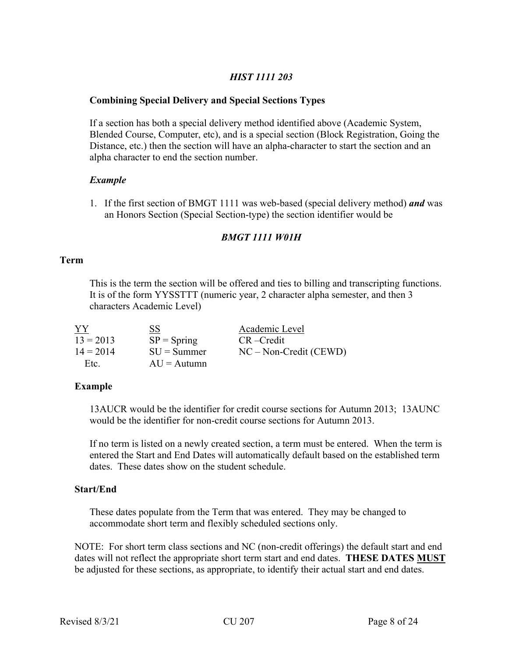# *HIST 1111 203*

#### **Combining Special Delivery and Special Sections Types**

If a section has both a special delivery method identified above (Academic System, Blended Course, Computer, etc), and is a special section (Block Registration, Going the Distance, etc.) then the section will have an alpha-character to start the section and an alpha character to end the section number.

#### *Example*

1. If the first section of BMGT 1111 was web-based (special delivery method) *and* was an Honors Section (Special Section-type) the section identifier would be

# *BMGT 1111 W01H*

#### **Term**

This is the term the section will be offered and ties to billing and transcripting functions. It is of the form YYSSTTT (numeric year, 2 character alpha semester, and then 3 characters Academic Level)

| YY          | SS             | Academic Level           |
|-------------|----------------|--------------------------|
| $13 = 2013$ | $SP = Spring$  | $CR - Credit$            |
| $14 = 2014$ | $SIJ = Summer$ | $NC - Non-Credit (CEWD)$ |
| Etc.        | $AU =$ Autumn  |                          |

#### **Example**

13AUCR would be the identifier for credit course sections for Autumn 2013; 13AUNC would be the identifier for non-credit course sections for Autumn 2013.

If no term is listed on a newly created section, a term must be entered. When the term is entered the Start and End Dates will automatically default based on the established term dates. These dates show on the student schedule.

#### **Start/End**

These dates populate from the Term that was entered. They may be changed to accommodate short term and flexibly scheduled sections only.

NOTE: For short term class sections and NC (non-credit offerings) the default start and end dates will not reflect the appropriate short term start and end dates. **THESE DATES MUST** be adjusted for these sections, as appropriate, to identify their actual start and end dates.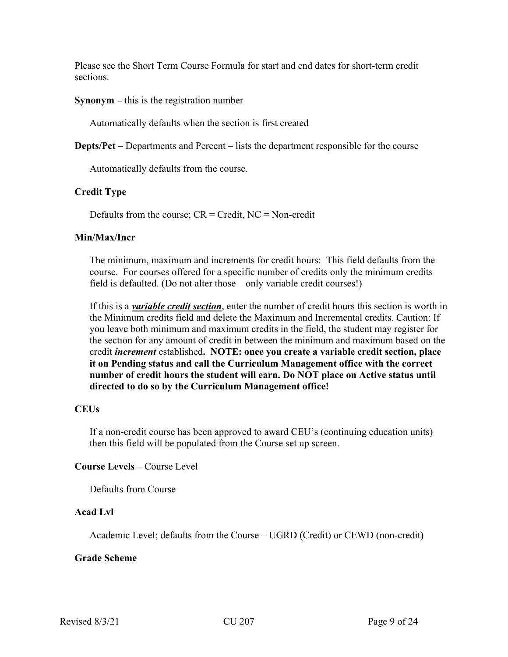Please see the Short Term Course Formula for start and end dates for short-term credit sections.

#### **Synonym –** this is the registration number

Automatically defaults when the section is first created

**Depts/Pct** – Departments and Percent – lists the department responsible for the course

Automatically defaults from the course.

#### **Credit Type**

Defaults from the course;  $CR = Credit$ ,  $NC = Non-credit$ 

#### **Min/Max/Incr**

The minimum, maximum and increments for credit hours: This field defaults from the course. For courses offered for a specific number of credits only the minimum credits field is defaulted. (Do not alter those—only variable credit courses!)

If this is a *variable credit section*, enter the number of credit hours this section is worth in the Minimum credits field and delete the Maximum and Incremental credits. Caution: If you leave both minimum and maximum credits in the field, the student may register for the section for any amount of credit in between the minimum and maximum based on the credit *increment* established**. NOTE: once you create a variable credit section, place it on Pending status and call the Curriculum Management office with the correct number of credit hours the student will earn. Do NOT place on Active status until directed to do so by the Curriculum Management office!**

#### **CEUs**

If a non-credit course has been approved to award CEU's (continuing education units) then this field will be populated from the Course set up screen.

#### **Course Levels** – Course Level

Defaults from Course

#### **Acad Lvl**

Academic Level; defaults from the Course – UGRD (Credit) or CEWD (non-credit)

#### **Grade Scheme**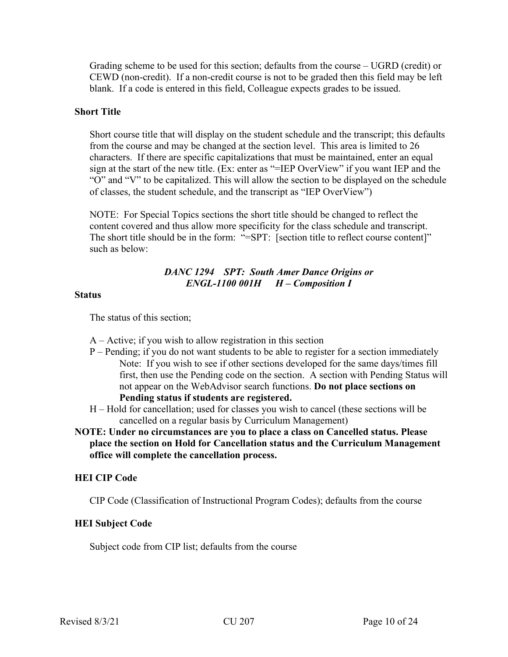Grading scheme to be used for this section; defaults from the course – UGRD (credit) or CEWD (non-credit). If a non-credit course is not to be graded then this field may be left blank. If a code is entered in this field, Colleague expects grades to be issued.

#### **Short Title**

Short course title that will display on the student schedule and the transcript; this defaults from the course and may be changed at the section level. This area is limited to 26 characters. If there are specific capitalizations that must be maintained, enter an equal sign at the start of the new title. (Ex: enter as "=IEP OverView" if you want IEP and the "O" and "V" to be capitalized. This will allow the section to be displayed on the schedule of classes, the student schedule, and the transcript as "IEP OverView")

NOTE: For Special Topics sections the short title should be changed to reflect the content covered and thus allow more specificity for the class schedule and transcript. The short title should be in the form: "=SPT: [section title to reflect course content]" such as below:

# *DANC 1294 SPT: South Amer Dance Origins or ENGL-1100 001H H – Composition I*

#### **Status**

The status of this section;

- A Active; if you wish to allow registration in this section
- P Pending; if you do not want students to be able to register for a section immediately Note: If you wish to see if other sections developed for the same days/times fill first, then use the Pending code on the section. A section with Pending Status will not appear on the WebAdvisor search functions. **Do not place sections on Pending status if students are registered.**
- H Hold for cancellation; used for classes you wish to cancel (these sections will be cancelled on a regular basis by Curriculum Management)
- **NOTE: Under no circumstances are you to place a class on Cancelled status. Please place the section on Hold for Cancellation status and the Curriculum Management office will complete the cancellation process.**

#### **HEI CIP Code**

CIP Code (Classification of Instructional Program Codes); defaults from the course

#### **HEI Subject Code**

Subject code from CIP list; defaults from the course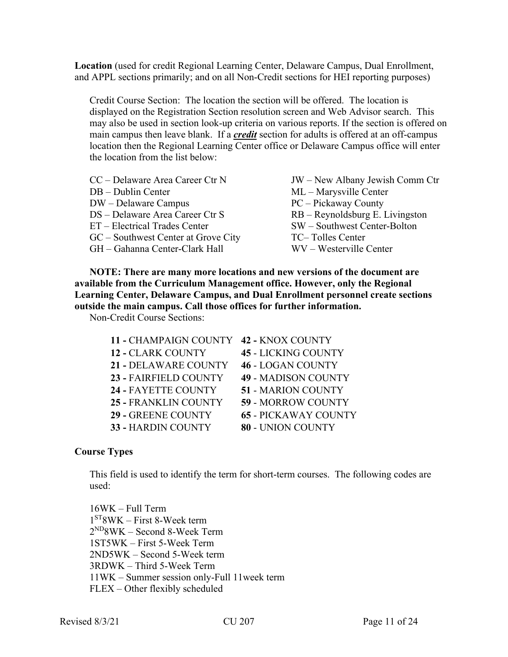**Location** (used for credit Regional Learning Center, Delaware Campus, Dual Enrollment, and APPL sections primarily; and on all Non-Credit sections for HEI reporting purposes)

Credit Course Section: The location the section will be offered. The location is displayed on the Registration Section resolution screen and Web Advisor search. This may also be used in section look-up criteria on various reports. If the section is offered on main campus then leave blank. If a *credit* section for adults is offered at an off-campus location then the Regional Learning Center office or Delaware Campus office will enter the location from the list below:

| CC – Delaware Area Career Ctr N     | JW – New Albany Jewish Comm Ctr   |
|-------------------------------------|-----------------------------------|
| DB – Dublin Center                  | ML – Marysville Center            |
| DW – Delaware Campus                | PC – Pickaway County              |
| DS - Delaware Area Career Ctr S     | $RB - Reynoldsburg E. Livingston$ |
| ET – Electrical Trades Center       | SW - Southwest Center-Bolton      |
| GC – Southwest Center at Grove City | TC-Tolles Center                  |
| GH – Gahanna Center-Clark Hall      | WV – Westerville Center           |

**NOTE: There are many more locations and new versions of the document are available from the Curriculum Management office. However, only the Regional Learning Center, Delaware Campus, and Dual Enrollment personnel create sections outside the main campus. Call those offices for further information.** 

Non-Credit Course Sections:

| 11 - CHAMPAIGN COUNTY    | 42 - KNOX COUNTY            |
|--------------------------|-----------------------------|
| <b>12 - CLARK COUNTY</b> | <b>45 - LICKING COUNTY</b>  |
| 21 - DELAWARE COUNTY     | <b>46 - LOGAN COUNTY</b>    |
| 23 - FAIRFIELD COUNTY    | <b>49 - MADISON COUNTY</b>  |
| 24 - FAYETTE COUNTY      | <b>51 - MARION COUNTY</b>   |
| 25 - FRANKLIN COUNTY     | <b>59 - MORROW COUNTY</b>   |
| 29 - GREENE COUNTY       | <b>65 - PICKAWAY COUNTY</b> |
| 33 - HARDIN COUNTY       | 80 - UNION COUNTY           |

# **Course Types**

This field is used to identify the term for short-term courses. The following codes are used:

16WK – Full Term  $1<sup>ST</sup>8WK - First 8-Week term$ 2ND8WK – Second 8-Week Term 1ST5WK – First 5-Week Term 2ND5WK – Second 5-Week term 3RDWK – Third 5-Week Term 11WK – Summer session only-Full 11week term FLEX – Other flexibly scheduled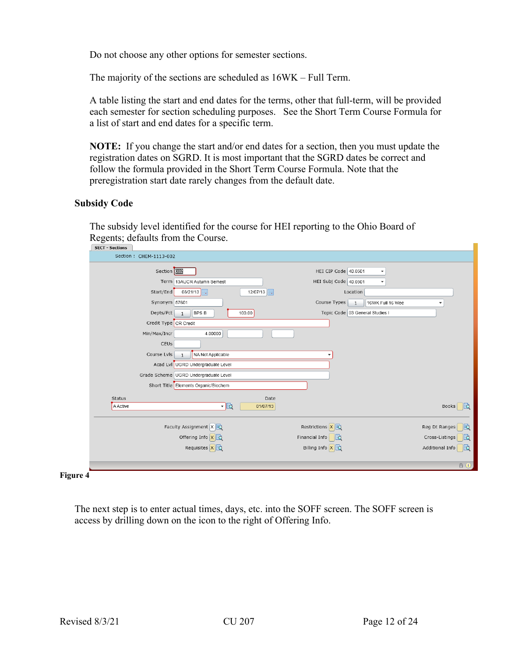Do not choose any other options for semester sections.

The majority of the sections are scheduled as 16WK – Full Term.

A table listing the start and end dates for the terms, other that full-term, will be provided each semester for section scheduling purposes. See the Short Term Course Formula for a list of start and end dates for a specific term.

**NOTE:** If you change the start and/or end dates for a section, then you must update the registration dates on SGRD. It is most important that the SGRD dates be correct and follow the formula provided in the Short Term Course Formula. Note that the preregistration start date rarely changes from the default date.

#### **Subsidy Code**

The subsidy level identified for the course for HEI reporting to the Ohio Board of Regents; defaults from the Course.

| <b>SECT - Sections</b>  |                                       |                                                  |                        |
|-------------------------|---------------------------------------|--------------------------------------------------|------------------------|
| Section : CHEM-1113-002 |                                       |                                                  |                        |
| Section 002             |                                       | HEI CIP Code 40.0501<br>$\blacktriangledown$     |                        |
|                         | Term   13AUCR Autumn Semest           | HEI Subj Code 40.0501<br>$\blacktriangledown$    |                        |
| Start/End               | 08/21/13<br>12/07/13                  | Location                                         |                        |
| Synonym 57601           |                                       | Course Types<br>16WK Full 16 Wee<br>$\mathbf{1}$ |                        |
| Depts/Pct               | <b>BPS B</b><br>100.00                | Topic Code 03 General Studies I                  |                        |
| Credit Type CR Credit   |                                       |                                                  |                        |
| Min/Max/Incr            | 4.00000                               |                                                  |                        |
| CEUS                    |                                       |                                                  |                        |
| Course Lvls             | NA Not Applicable                     |                                                  |                        |
|                         | Acad Lvl UGRD Undergraduate Level     |                                                  |                        |
|                         | Grade Scheme UGRD Undergraduate Level |                                                  |                        |
|                         | Short Title Elements Organic/Biochem  |                                                  |                        |
| Status                  | Date                                  |                                                  |                        |
| <b>A Active</b>         | ・図<br>01/07/13                        |                                                  | <b>Books</b><br>∥≡ਹੋ   |
|                         | Faculty Assignment $X$ $\rightarrow$  | Restrictions $\ x\ $                             | Reg Dt Ranges<br>脑     |
|                         | Offering Info $x\rightarrow$          | Financial Info                                   | Cross-Listings<br>脑    |
|                         | Requisites X 3                        | Billing Info $x\vert\vec{z}$                     | lla<br>Additional Info |
|                         |                                       |                                                  | $A$ $O$                |
|                         |                                       |                                                  |                        |

**Figure 4**

The next step is to enter actual times, days, etc. into the SOFF screen. The SOFF screen is access by drilling down on the icon to the right of Offering Info.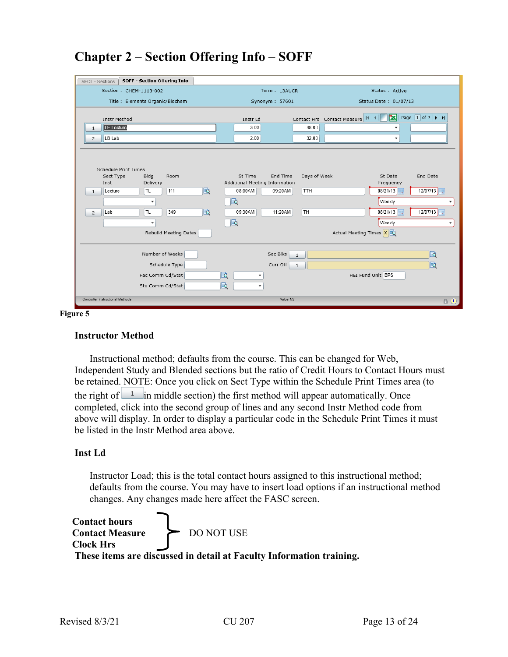|                                  | SOFF - Section Offering Info         |      |                                |              |                                               |                          |                                                                   |
|----------------------------------|--------------------------------------|------|--------------------------------|--------------|-----------------------------------------------|--------------------------|-------------------------------------------------------------------|
| SECT - Sections                  |                                      |      |                                |              |                                               |                          |                                                                   |
|                                  | Section : CHEM-1113-002              |      | Term: 13AUCR                   |              |                                               | Status : Active          |                                                                   |
|                                  | Title : Elements Organic/Biochem     |      | Synonym: 57601                 |              |                                               | Status Date: 01/07/13    |                                                                   |
|                                  |                                      |      |                                |              |                                               |                          |                                                                   |
| <b>Instr Method</b>              |                                      |      | Instr Ld                       |              | $\blacksquare$<br>Contact Hrs Contact Measure | MI                       | Page $\boxed{1}$ of 2 $\blacktriangleright$ $\blacktriangleright$ |
| <b>LE Lecture</b>                |                                      |      | 3.00                           | 48.00        |                                               |                          |                                                                   |
| LB Lab<br>$\overline{2}$         |                                      |      | 2.00                           | 32.00        |                                               | $\overline{\phantom{a}}$ |                                                                   |
|                                  |                                      |      |                                |              |                                               |                          |                                                                   |
|                                  |                                      |      |                                |              |                                               |                          |                                                                   |
|                                  |                                      |      |                                |              |                                               |                          |                                                                   |
| Sect Type                        | Schedule Print Times<br>Bldg<br>Room |      | St Time<br>End Time            | Days of Week |                                               | St Date                  | End Date                                                          |
| Inst                             | Delivery                             |      | Additional Meeting Information |              |                                               | Frequency                |                                                                   |
| Lecture<br>$\mathbf{1}$          | TL.<br>111                           | 屗    | 08:00AM<br>09:20AM             | TTH          |                                               | 08/21/13                 | 12/07/13                                                          |
|                                  | ٠                                    | 屗    |                                |              |                                               | Weekly                   | ٠                                                                 |
| Lab                              | TL<br>349                            | b    | 09:30AM<br>11:20AM             | TH           |                                               | 08/21/13                 | $\frac{12}{12}$                                                   |
| $\overline{2}$                   |                                      |      |                                |              |                                               |                          |                                                                   |
|                                  | $\checkmark$                         | Eq   |                                |              |                                               | Weekly                   | ٠                                                                 |
|                                  | Rebuild Meeting Dates                |      |                                |              | Actual Meeting Times X 3                      |                          |                                                                   |
|                                  |                                      |      |                                |              |                                               |                          |                                                                   |
|                                  | Number of Weeks                      |      | Sec Blks                       | $\mathbf{1}$ |                                               |                          | la                                                                |
|                                  |                                      |      |                                |              |                                               |                          |                                                                   |
|                                  | Schedule Type                        |      | Curr Off                       | $\mathbf{1}$ |                                               |                          | 因                                                                 |
|                                  | Fac Comm Cd/Stat                     | la 2 |                                |              | HEI Fund Unit BPS                             |                          |                                                                   |
|                                  | Stu Comm Cd/Stat                     | 艮    | ٠                              |              |                                               |                          |                                                                   |
|                                  |                                      |      |                                |              |                                               |                          |                                                                   |
| Controller Instructional Methods |                                      |      | Value 1/2                      |              |                                               |                          | A Ü                                                               |

# **Chapter 2 – Section Offering Info – SOFF**

**Figure 5**

#### **Instructor Method**

Instructional method; defaults from the course. This can be changed for Web, Independent Study and Blended sections but the ratio of Credit Hours to Contact Hours must be retained. NOTE: Once you click on Sect Type within the Schedule Print Times area (to the right of  $\frac{1}{\sqrt{2}}$  in middle section) the first method will appear automatically. Once completed, click into the second group of lines and any second Instr Method code from above will display. In order to display a particular code in the Schedule Print Times it must be listed in the Instr Method area above.

# **Inst Ld**

Instructor Load; this is the total contact hours assigned to this instructional method; defaults from the course. You may have to insert load options if an instructional method changes. Any changes made here affect the FASC screen.

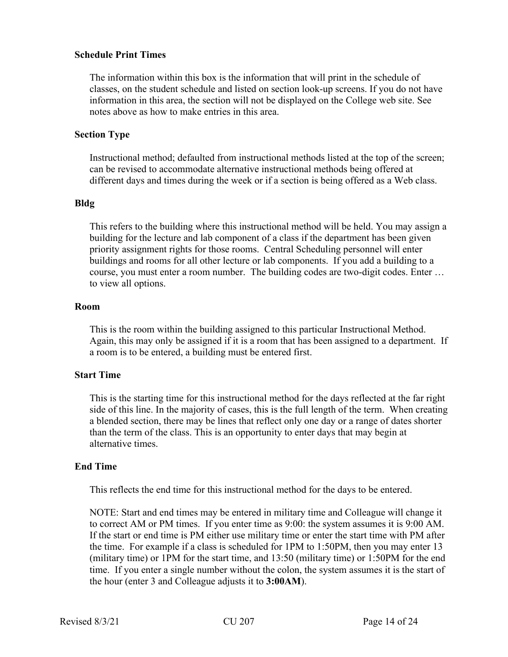#### **Schedule Print Times**

The information within this box is the information that will print in the schedule of classes, on the student schedule and listed on section look-up screens. If you do not have information in this area, the section will not be displayed on the College web site. See notes above as how to make entries in this area.

#### **Section Type**

Instructional method; defaulted from instructional methods listed at the top of the screen; can be revised to accommodate alternative instructional methods being offered at different days and times during the week or if a section is being offered as a Web class.

#### **Bldg**

This refers to the building where this instructional method will be held. You may assign a building for the lecture and lab component of a class if the department has been given priority assignment rights for those rooms. Central Scheduling personnel will enter buildings and rooms for all other lecture or lab components. If you add a building to a course, you must enter a room number. The building codes are two-digit codes. Enter … to view all options.

#### **Room**

This is the room within the building assigned to this particular Instructional Method. Again, this may only be assigned if it is a room that has been assigned to a department. If a room is to be entered, a building must be entered first.

#### **Start Time**

This is the starting time for this instructional method for the days reflected at the far right side of this line. In the majority of cases, this is the full length of the term. When creating a blended section, there may be lines that reflect only one day or a range of dates shorter than the term of the class. This is an opportunity to enter days that may begin at alternative times.

#### **End Time**

This reflects the end time for this instructional method for the days to be entered.

NOTE: Start and end times may be entered in military time and Colleague will change it to correct AM or PM times. If you enter time as 9:00: the system assumes it is 9:00 AM. If the start or end time is PM either use military time or enter the start time with PM after the time. For example if a class is scheduled for 1PM to 1:50PM, then you may enter 13 (military time) or 1PM for the start time, and 13:50 (military time) or 1:50PM for the end time. If you enter a single number without the colon, the system assumes it is the start of the hour (enter 3 and Colleague adjusts it to **3:00AM**).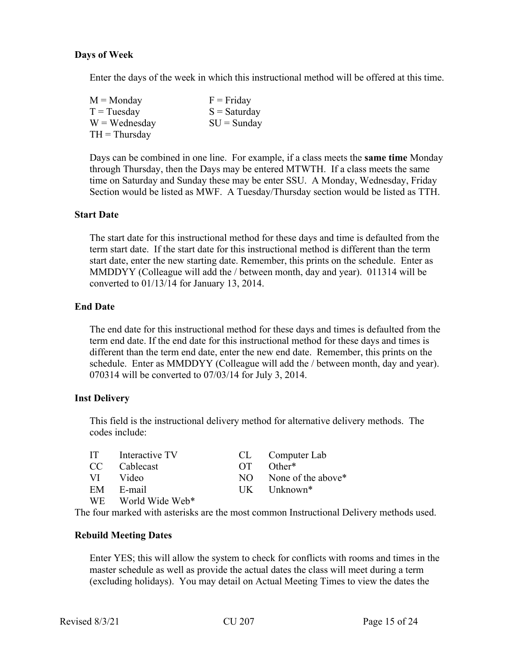#### **Days of Week**

Enter the days of the week in which this instructional method will be offered at this time.

| $M =$ Monday    | $F =$ Friday   |
|-----------------|----------------|
| $T = Tuesday$   | $S =$ Saturday |
| $W = Wednesday$ | $SU =$ Sunday  |
| $TH = Thursday$ |                |

Days can be combined in one line. For example, if a class meets the **same time** Monday through Thursday, then the Days may be entered MTWTH. If a class meets the same time on Saturday and Sunday these may be enter SSU. A Monday, Wednesday, Friday Section would be listed as MWF. A Tuesday/Thursday section would be listed as TTH.

#### **Start Date**

The start date for this instructional method for these days and time is defaulted from the term start date. If the start date for this instructional method is different than the term start date, enter the new starting date. Remember, this prints on the schedule. Enter as MMDDYY (Colleague will add the / between month, day and year). 011314 will be converted to 01/13/14 for January 13, 2014.

#### **End Date**

The end date for this instructional method for these days and times is defaulted from the term end date. If the end date for this instructional method for these days and times is different than the term end date, enter the new end date. Remember, this prints on the schedule. Enter as MMDDYY (Colleague will add the / between month, day and year). 070314 will be converted to 07/03/14 for July 3, 2014.

#### **Inst Delivery**

This field is the instructional delivery method for alternative delivery methods. The codes include:

|      | IT Interactive TV  |          | CL Computer Lab           |
|------|--------------------|----------|---------------------------|
|      | CC Cablecast       | $\Gamma$ | Other <sup>*</sup>        |
| VI — | Video              | NO -     | None of the above*        |
|      | EM E-mail          |          | $UK$ Unknown <sup>*</sup> |
|      | WE World Wide Web* |          |                           |

The four marked with asterisks are the most common Instructional Delivery methods used.

#### **Rebuild Meeting Dates**

Enter YES; this will allow the system to check for conflicts with rooms and times in the master schedule as well as provide the actual dates the class will meet during a term (excluding holidays). You may detail on Actual Meeting Times to view the dates the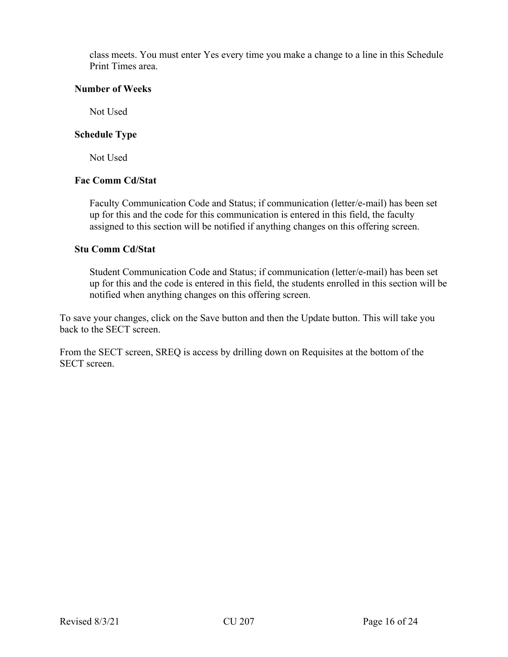class meets. You must enter Yes every time you make a change to a line in this Schedule Print Times area.

#### **Number of Weeks**

Not Used

## **Schedule Type**

Not Used

## **Fac Comm Cd/Stat**

Faculty Communication Code and Status; if communication (letter/e-mail) has been set up for this and the code for this communication is entered in this field, the faculty assigned to this section will be notified if anything changes on this offering screen.

#### **Stu Comm Cd/Stat**

Student Communication Code and Status; if communication (letter/e-mail) has been set up for this and the code is entered in this field, the students enrolled in this section will be notified when anything changes on this offering screen.

To save your changes, click on the Save button and then the Update button. This will take you back to the SECT screen.

From the SECT screen, SREQ is access by drilling down on Requisites at the bottom of the SECT screen.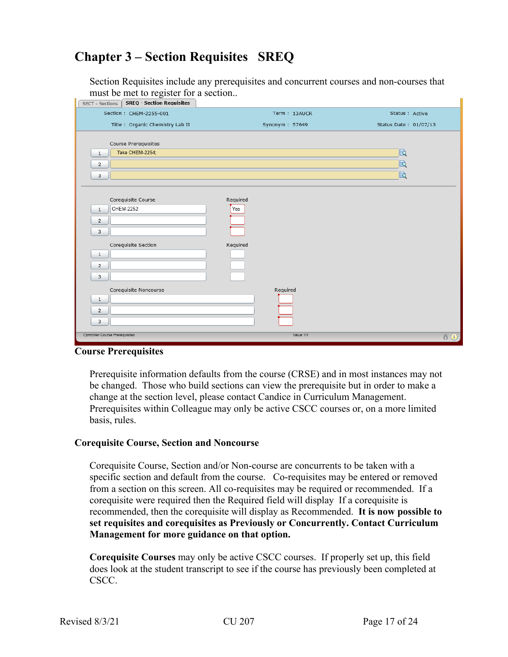# **Chapter 3 – Section Requisites SREQ**

Section Requisites include any prerequisites and concurrent courses and non-courses that must be met to register for a section..

| <b>SREQ - Section Requisites</b><br>SECT - Sections |                |                       |
|-----------------------------------------------------|----------------|-----------------------|
| Section : CHEM-2255-001                             | Term: 13AUCR   | Status : Active       |
| Title : Organic Chemistry Lab II                    | Synonym: 57649 | Status Date: 01/07/13 |
|                                                     |                |                       |
| Course Prerequisites                                |                |                       |
| Take CHEM-2254;<br>$\mathbf{1}$                     |                | le                    |
| $\overline{2}$                                      |                | 因                     |
| 3                                                   |                | 因                     |
|                                                     |                |                       |
| Corequisite Course                                  | Required       |                       |
| <b>CHEM-2252</b><br>$\mathbf{1}$                    | Yes            |                       |
|                                                     |                |                       |
| $\overline{2}$                                      |                |                       |
| 3                                                   |                |                       |
| Corequisite Section                                 | Required       |                       |
| $\mathbf{1}$                                        |                |                       |
| $\overline{2}$                                      |                |                       |
| 3                                                   |                |                       |
| Corequisite Noncourse                               | Required       |                       |
| $\mathbf{1}$                                        |                |                       |
| $\overline{2}$                                      |                |                       |
| 3                                                   |                |                       |
|                                                     |                |                       |
| Controller Course Prerequisites                     | Value 1/1      | $A$ (i)               |

#### **Course Prerequisites**

Prerequisite information defaults from the course (CRSE) and in most instances may not be changed. Those who build sections can view the prerequisite but in order to make a change at the section level, please contact Candice in Curriculum Management. Prerequisites within Colleague may only be active CSCC courses or, on a more limited basis, rules.

#### **Corequisite Course, Section and Noncourse**

Corequisite Course, Section and/or Non-course are concurrents to be taken with a specific section and default from the course. Co-requisites may be entered or removed from a section on this screen. All co-requisites may be required or recommended. If a corequisite were required then the Required field will display If a corequisite is recommended, then the corequisite will display as Recommended. **It is now possible to set requisites and corequisites as Previously or Concurrently. Contact Curriculum Management for more guidance on that option.**

**Corequisite Courses** may only be active CSCC courses. If properly set up, this field does look at the student transcript to see if the course has previously been completed at CSCC.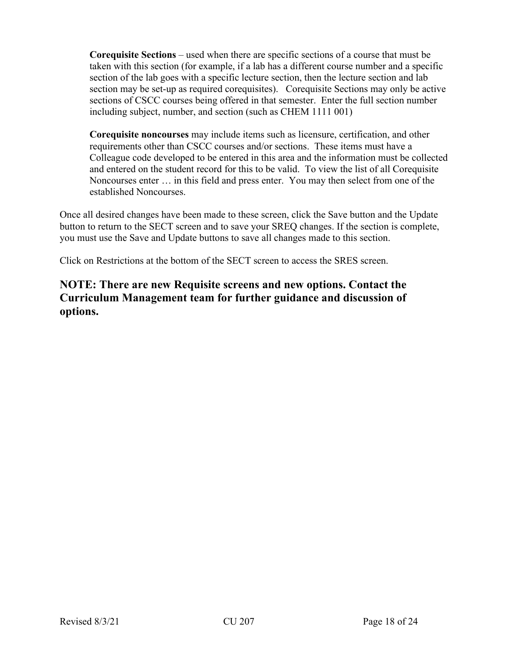**Corequisite Sections** – used when there are specific sections of a course that must be taken with this section (for example, if a lab has a different course number and a specific section of the lab goes with a specific lecture section, then the lecture section and lab section may be set-up as required corequisites). Corequisite Sections may only be active sections of CSCC courses being offered in that semester. Enter the full section number including subject, number, and section (such as CHEM 1111 001)

**Corequisite noncourses** may include items such as licensure, certification, and other requirements other than CSCC courses and/or sections. These items must have a Colleague code developed to be entered in this area and the information must be collected and entered on the student record for this to be valid. To view the list of all Corequisite Noncourses enter … in this field and press enter. You may then select from one of the established Noncourses.

Once all desired changes have been made to these screen, click the Save button and the Update button to return to the SECT screen and to save your SREQ changes. If the section is complete, you must use the Save and Update buttons to save all changes made to this section.

Click on Restrictions at the bottom of the SECT screen to access the SRES screen.

# **NOTE: There are new Requisite screens and new options. Contact the Curriculum Management team for further guidance and discussion of options.**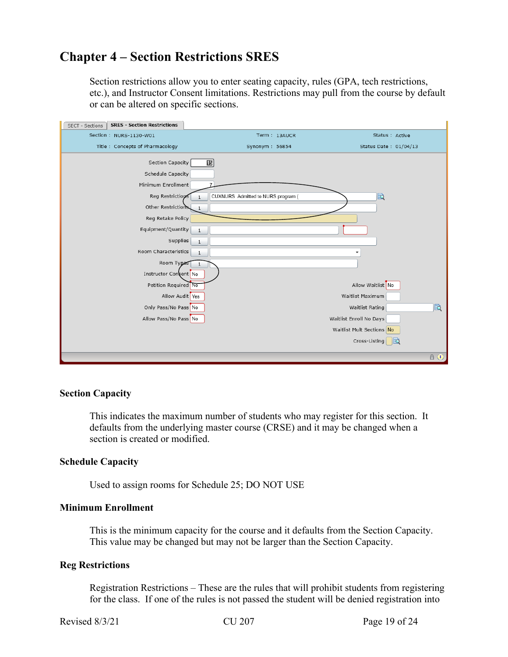# **Chapter 4 – Section Restrictions SRES**

Section restrictions allow you to enter seating capacity, rules (GPA, tech restrictions, etc.), and Instructor Consent limitations. Restrictions may pull from the course by default or can be altered on specific sections.

| <b>SRES - Section Restrictions</b><br>SECT - Sections                                                                      |                                                              |                           |
|----------------------------------------------------------------------------------------------------------------------------|--------------------------------------------------------------|---------------------------|
| Section: NURS-1130-W01                                                                                                     | Term: 13AUCR                                                 | Status : Active           |
| Title: Concepts of Pharmacology                                                                                            | Synonym: 56854                                               | Status Date: 01/04/13     |
| Section Capacity<br>Schedule Capacity<br>Minimum Enrollment<br>Reg Restrictions<br>Other Restrictions<br>Reg Retake Policy | $\boxed{15}$<br>CUXNURS Admitted to NURS program (<br>1<br>1 | 屗                         |
|                                                                                                                            |                                                              |                           |
| Equipment/Quantity                                                                                                         | $\mathbf{1}$                                                 |                           |
| Supplies                                                                                                                   | $1\,$                                                        |                           |
| Room Characteristics                                                                                                       | $\mathbf{1}$                                                 |                           |
| Room Types                                                                                                                 |                                                              |                           |
| Instructor Concent No                                                                                                      |                                                              |                           |
| Petition Required No                                                                                                       |                                                              | Allow Waitlist No         |
| Allow Audit Yes                                                                                                            |                                                              | Waitlist Maximum          |
| Only Pass/No Pass No                                                                                                       |                                                              | 園<br>Waitlist Rating      |
| Allow Pass/No Pass No                                                                                                      |                                                              | Waitlist Enroll No Days   |
|                                                                                                                            |                                                              | Waitlist Mult Sections No |
|                                                                                                                            |                                                              | Cross-Listing<br>IEQ      |
|                                                                                                                            |                                                              | $A$ $\Theta$              |

#### **Section Capacity**

This indicates the maximum number of students who may register for this section. It defaults from the underlying master course (CRSE) and it may be changed when a section is created or modified.

#### **Schedule Capacity**

Used to assign rooms for Schedule 25; DO NOT USE

#### **Minimum Enrollment**

This is the minimum capacity for the course and it defaults from the Section Capacity. This value may be changed but may not be larger than the Section Capacity.

#### **Reg Restrictions**

Registration Restrictions – These are the rules that will prohibit students from registering for the class. If one of the rules is not passed the student will be denied registration into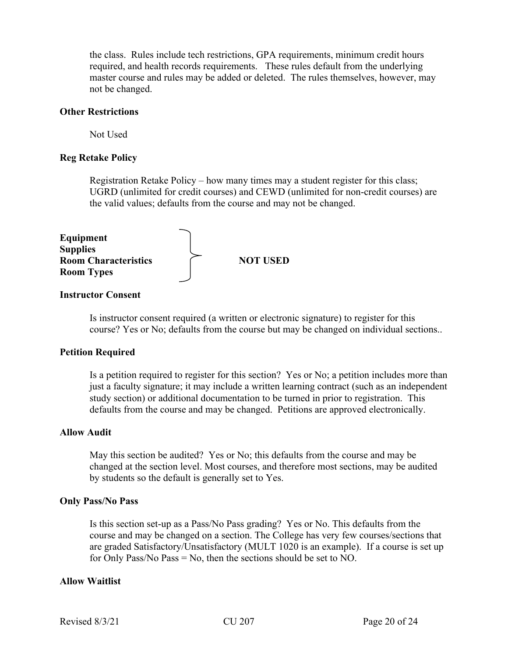the class. Rules include tech restrictions, GPA requirements, minimum credit hours required, and health records requirements. These rules default from the underlying master course and rules may be added or deleted. The rules themselves, however, may not be changed.

#### **Other Restrictions**

Not Used

#### **Reg Retake Policy**

Registration Retake Policy – how many times may a student register for this class; UGRD (unlimited for credit courses) and CEWD (unlimited for non-credit courses) are the valid values; defaults from the course and may not be changed.

| Equipment                                      |                 |
|------------------------------------------------|-----------------|
| <b>Supplies</b><br><b>Room Characteristics</b> | <b>NOT USED</b> |
| <b>Room Types</b>                              |                 |

#### **Instructor Consent**

Is instructor consent required (a written or electronic signature) to register for this course? Yes or No; defaults from the course but may be changed on individual sections..

#### **Petition Required**

Is a petition required to register for this section? Yes or No; a petition includes more than just a faculty signature; it may include a written learning contract (such as an independent study section) or additional documentation to be turned in prior to registration. This defaults from the course and may be changed. Petitions are approved electronically.

#### **Allow Audit**

May this section be audited? Yes or No; this defaults from the course and may be changed at the section level. Most courses, and therefore most sections, may be audited by students so the default is generally set to Yes.

#### **Only Pass/No Pass**

Is this section set-up as a Pass/No Pass grading? Yes or No. This defaults from the course and may be changed on a section. The College has very few courses/sections that are graded Satisfactory/Unsatisfactory (MULT 1020 is an example). If a course is set up for Only Pass/No Pass  $=$  No, then the sections should be set to NO.

#### **Allow Waitlist**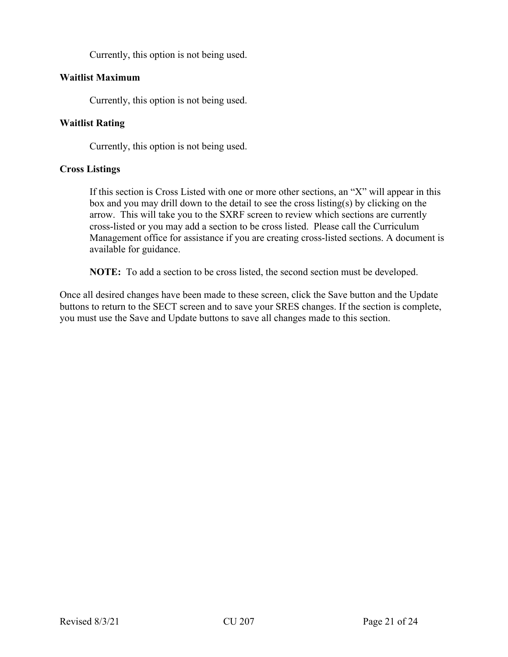Currently, this option is not being used.

# **Waitlist Maximum**

Currently, this option is not being used.

# **Waitlist Rating**

Currently, this option is not being used.

# **Cross Listings**

If this section is Cross Listed with one or more other sections, an "X" will appear in this box and you may drill down to the detail to see the cross listing(s) by clicking on the arrow. This will take you to the SXRF screen to review which sections are currently cross-listed or you may add a section to be cross listed. Please call the Curriculum Management office for assistance if you are creating cross-listed sections. A document is available for guidance.

**NOTE:** To add a section to be cross listed, the second section must be developed.

Once all desired changes have been made to these screen, click the Save button and the Update buttons to return to the SECT screen and to save your SRES changes. If the section is complete, you must use the Save and Update buttons to save all changes made to this section.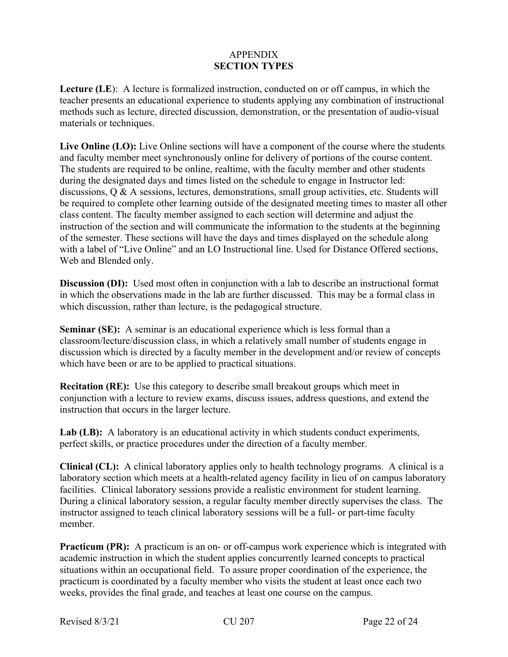# APPENDIX **SECTION TYPES**

**Lecture (LE**): A lecture is formalized instruction, conducted on or off campus, in which the teacher presents an educational experience to students applying any combination of instructional methods such as lecture, directed discussion, demonstration, or the presentation of audio-visual materials or techniques.

**Live Online (LO):** Live Online sections will have a component of the course where the students and faculty member meet synchronously online for delivery of portions of the course content. The students are required to be online, realtime, with the faculty member and other students during the designated days and times listed on the schedule to engage in Instructor led: discussions, Q & A sessions, lectures, demonstrations, small group activities, etc. Students will be required to complete other learning outside of the designated meeting times to master all other class content. The faculty member assigned to each section will determine and adjust the instruction of the section and will communicate the information to the students at the beginning of the semester. These sections will have the days and times displayed on the schedule along with a label of "Live Online" and an LO Instructional line. Used for Distance Offered sections, Web and Blended only.

**Discussion (DI):** Used most often in conjunction with a lab to describe an instructional format in which the observations made in the lab are further discussed. This may be a formal class in which discussion, rather than lecture, is the pedagogical structure.

**Seminar (SE):** A seminar is an educational experience which is less formal than a classroom/lecture/discussion class, in which a relatively small number of students engage in discussion which is directed by a faculty member in the development and/or review of concepts which have been or are to be applied to practical situations.

**Recitation (RE):** Use this category to describe small breakout groups which meet in conjunction with a lecture to review exams, discuss issues, address questions, and extend the instruction that occurs in the larger lecture.

Lab (LB): A laboratory is an educational activity in which students conduct experiments, perfect skills, or practice procedures under the direction of a faculty member.

**Clinical (CL):** A clinical laboratory applies only to health technology programs. A clinical is a laboratory section which meets at a health-related agency facility in lieu of on campus laboratory facilities. Clinical laboratory sessions provide a realistic environment for student learning. During a clinical laboratory session, a regular faculty member directly supervises the class. The instructor assigned to teach clinical laboratory sessions will be a full- or part-time faculty member.

**Practicum (PR):** A practicum is an on- or off-campus work experience which is integrated with academic instruction in which the student applies concurrently learned concepts to practical situations within an occupational field. To assure proper coordination of the experience, the practicum is coordinated by a faculty member who visits the student at least once each two weeks, provides the final grade, and teaches at least one course on the campus.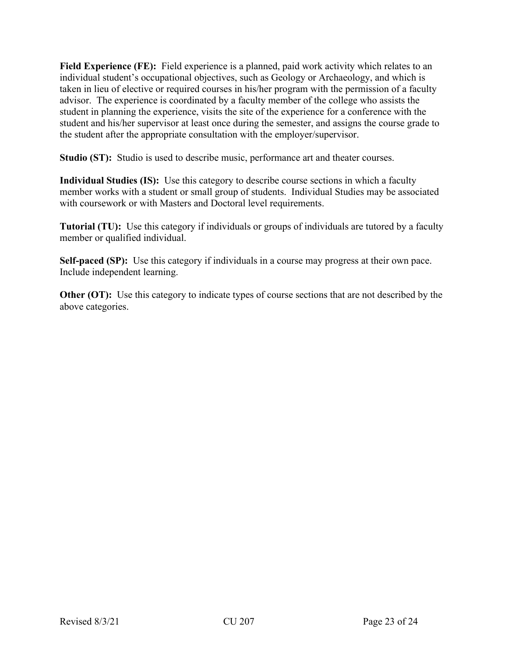Field Experience (FE): Field experience is a planned, paid work activity which relates to an individual student's occupational objectives, such as Geology or Archaeology, and which is taken in lieu of elective or required courses in his/her program with the permission of a faculty advisor. The experience is coordinated by a faculty member of the college who assists the student in planning the experience, visits the site of the experience for a conference with the student and his/her supervisor at least once during the semester, and assigns the course grade to the student after the appropriate consultation with the employer/supervisor.

**Studio (ST):** Studio is used to describe music, performance art and theater courses.

**Individual Studies (IS):** Use this category to describe course sections in which a faculty member works with a student or small group of students. Individual Studies may be associated with coursework or with Masters and Doctoral level requirements.

**Tutorial (TU):** Use this category if individuals or groups of individuals are tutored by a faculty member or qualified individual.

**Self-paced (SP):** Use this category if individuals in a course may progress at their own pace. Include independent learning.

**Other (OT):** Use this category to indicate types of course sections that are not described by the above categories.